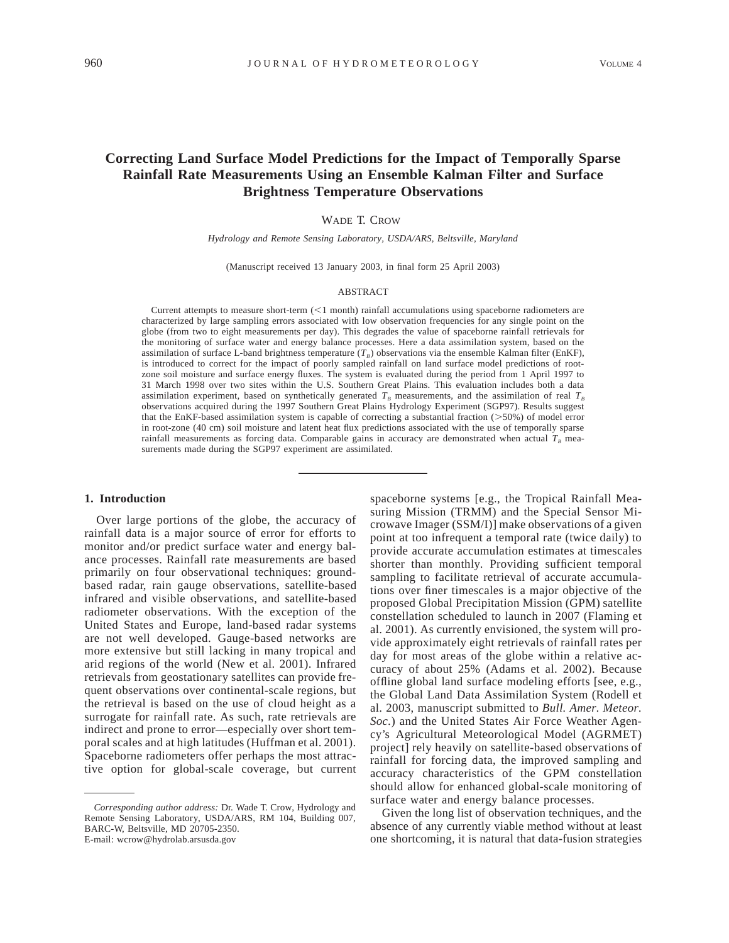# **Correcting Land Surface Model Predictions for the Impact of Temporally Sparse Rainfall Rate Measurements Using an Ensemble Kalman Filter and Surface Brightness Temperature Observations**

### WADE T. CROW

*Hydrology and Remote Sensing Laboratory, USDA/ARS, Beltsville, Maryland*

(Manuscript received 13 January 2003, in final form 25 April 2003)

### ABSTRACT

Current attempts to measure short-term  $\left($  < 1 month) rainfall accumulations using spaceborne radiometers are characterized by large sampling errors associated with low observation frequencies for any single point on the globe (from two to eight measurements per day). This degrades the value of spaceborne rainfall retrievals for the monitoring of surface water and energy balance processes. Here a data assimilation system, based on the assimilation of surface L-band brightness temperature ( $T_B$ ) observations via the ensemble Kalman filter (EnKF), is introduced to correct for the impact of poorly sampled rainfall on land surface model predictions of rootzone soil moisture and surface energy fluxes. The system is evaluated during the period from 1 April 1997 to 31 March 1998 over two sites within the U.S. Southern Great Plains. This evaluation includes both a data assimilation experiment, based on synthetically generated  $T_B$  measurements, and the assimilation of real  $T_B$ observations acquired during the 1997 Southern Great Plains Hydrology Experiment (SGP97). Results suggest that the EnKF-based assimilation system is capable of correcting a substantial fraction ( $>50%$ ) of model error in root-zone (40 cm) soil moisture and latent heat flux predictions associated with the use of temporally sparse rainfall measurements as forcing data. Comparable gains in accuracy are demonstrated when actual  $T_B$  measurements made during the SGP97 experiment are assimilated.

#### **1. Introduction**

Over large portions of the globe, the accuracy of rainfall data is a major source of error for efforts to monitor and/or predict surface water and energy balance processes. Rainfall rate measurements are based primarily on four observational techniques: groundbased radar, rain gauge observations, satellite-based infrared and visible observations, and satellite-based radiometer observations. With the exception of the United States and Europe, land-based radar systems are not well developed. Gauge-based networks are more extensive but still lacking in many tropical and arid regions of the world (New et al. 2001). Infrared retrievals from geostationary satellites can provide frequent observations over continental-scale regions, but the retrieval is based on the use of cloud height as a surrogate for rainfall rate. As such, rate retrievals are indirect and prone to error—especially over short temporal scales and at high latitudes (Huffman et al. 2001). Spaceborne radiometers offer perhaps the most attractive option for global-scale coverage, but current

spaceborne systems [e.g., the Tropical Rainfall Measuring Mission (TRMM) and the Special Sensor Microwave Imager (SSM/I)] make observations of a given point at too infrequent a temporal rate (twice daily) to provide accurate accumulation estimates at timescales shorter than monthly. Providing sufficient temporal sampling to facilitate retrieval of accurate accumulations over finer timescales is a major objective of the proposed Global Precipitation Mission (GPM) satellite constellation scheduled to launch in 2007 (Flaming et al. 2001). As currently envisioned, the system will provide approximately eight retrievals of rainfall rates per day for most areas of the globe within a relative accuracy of about 25% (Adams et al. 2002). Because offline global land surface modeling efforts [see, e.g., the Global Land Data Assimilation System (Rodell et al. 2003, manuscript submitted to *Bull. Amer. Meteor. Soc.*) and the United States Air Force Weather Agency's Agricultural Meteorological Model (AGRMET) project] rely heavily on satellite-based observations of rainfall for forcing data, the improved sampling and accuracy characteristics of the GPM constellation should allow for enhanced global-scale monitoring of surface water and energy balance processes.

Given the long list of observation techniques, and the absence of any currently viable method without at least one shortcoming, it is natural that data-fusion strategies

*Corresponding author address:* Dr. Wade T. Crow, Hydrology and Remote Sensing Laboratory, USDA/ARS, RM 104, Building 007, BARC-W, Beltsville, MD 20705-2350. E-mail: wcrow@hydrolab.arsusda.gov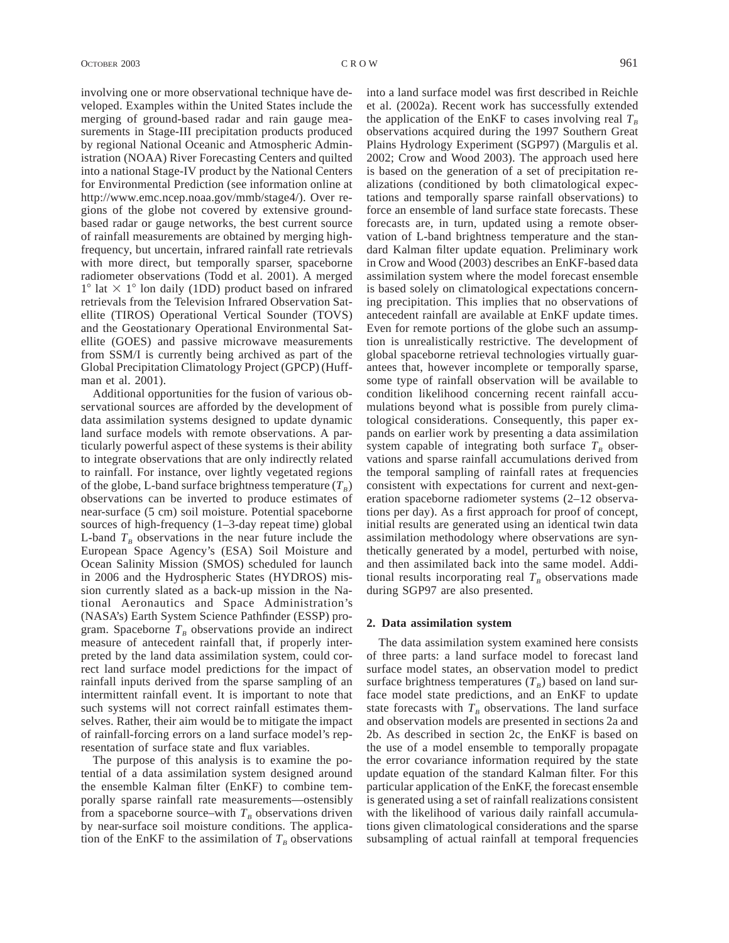involving one or more observational technique have developed. Examples within the United States include the merging of ground-based radar and rain gauge measurements in Stage-III precipitation products produced by regional National Oceanic and Atmospheric Administration (NOAA) River Forecasting Centers and quilted into a national Stage-IV product by the National Centers for Environmental Prediction (see information online at http://www.emc.ncep.noaa.gov/mmb/stage4/). Over regions of the globe not covered by extensive groundbased radar or gauge networks, the best current source of rainfall measurements are obtained by merging highfrequency, but uncertain, infrared rainfall rate retrievals with more direct, but temporally sparser, spaceborne radiometer observations (Todd et al. 2001). A merged  $1^{\circ}$  lat  $\times$  1° lon daily (1DD) product based on infrared retrievals from the Television Infrared Observation Satellite (TIROS) Operational Vertical Sounder (TOVS) and the Geostationary Operational Environmental Satellite (GOES) and passive microwave measurements from SSM/I is currently being archived as part of the Global Precipitation Climatology Project (GPCP) (Huffman et al. 2001).

Additional opportunities for the fusion of various observational sources are afforded by the development of data assimilation systems designed to update dynamic land surface models with remote observations. A particularly powerful aspect of these systems is their ability to integrate observations that are only indirectly related to rainfall. For instance, over lightly vegetated regions of the globe, L-band surface brightness temperature  $(T_B)$ observations can be inverted to produce estimates of near-surface (5 cm) soil moisture. Potential spaceborne sources of high-frequency (1–3-day repeat time) global L-band  $T_B$  observations in the near future include the European Space Agency's (ESA) Soil Moisture and Ocean Salinity Mission (SMOS) scheduled for launch in 2006 and the Hydrospheric States (HYDROS) mission currently slated as a back-up mission in the National Aeronautics and Space Administration's (NASA's) Earth System Science Pathfinder (ESSP) program. Spaceborne  $T_B$  observations provide an indirect measure of antecedent rainfall that, if properly interpreted by the land data assimilation system, could correct land surface model predictions for the impact of rainfall inputs derived from the sparse sampling of an intermittent rainfall event. It is important to note that such systems will not correct rainfall estimates themselves. Rather, their aim would be to mitigate the impact of rainfall-forcing errors on a land surface model's representation of surface state and flux variables.

The purpose of this analysis is to examine the potential of a data assimilation system designed around the ensemble Kalman filter (EnKF) to combine temporally sparse rainfall rate measurements—ostensibly from a spaceborne source–with  $T<sub>B</sub>$  observations driven by near-surface soil moisture conditions. The application of the EnKF to the assimilation of  $T_B$  observations

into a land surface model was first described in Reichle et al. (2002a). Recent work has successfully extended the application of the EnKF to cases involving real  $T_B$ observations acquired during the 1997 Southern Great Plains Hydrology Experiment (SGP97) (Margulis et al. 2002; Crow and Wood 2003). The approach used here is based on the generation of a set of precipitation realizations (conditioned by both climatological expectations and temporally sparse rainfall observations) to force an ensemble of land surface state forecasts. These forecasts are, in turn, updated using a remote observation of L-band brightness temperature and the standard Kalman filter update equation. Preliminary work in Crow and Wood (2003) describes an EnKF-based data assimilation system where the model forecast ensemble is based solely on climatological expectations concerning precipitation. This implies that no observations of antecedent rainfall are available at EnKF update times. Even for remote portions of the globe such an assumption is unrealistically restrictive. The development of global spaceborne retrieval technologies virtually guarantees that, however incomplete or temporally sparse, some type of rainfall observation will be available to condition likelihood concerning recent rainfall accumulations beyond what is possible from purely climatological considerations. Consequently, this paper expands on earlier work by presenting a data assimilation system capable of integrating both surface  $T_B$  observations and sparse rainfall accumulations derived from the temporal sampling of rainfall rates at frequencies consistent with expectations for current and next-generation spaceborne radiometer systems (2–12 observations per day). As a first approach for proof of concept, initial results are generated using an identical twin data assimilation methodology where observations are synthetically generated by a model, perturbed with noise, and then assimilated back into the same model. Additional results incorporating real  $T<sub>B</sub>$  observations made

### **2. Data assimilation system**

during SGP97 are also presented.

The data assimilation system examined here consists of three parts: a land surface model to forecast land surface model states, an observation model to predict surface brightness temperatures  $(T_B)$  based on land surface model state predictions, and an EnKF to update state forecasts with  $T_B$  observations. The land surface and observation models are presented in sections 2a and 2b. As described in section 2c, the EnKF is based on the use of a model ensemble to temporally propagate the error covariance information required by the state update equation of the standard Kalman filter. For this particular application of the EnKF, the forecast ensemble is generated using a set of rainfall realizations consistent with the likelihood of various daily rainfall accumulations given climatological considerations and the sparse subsampling of actual rainfall at temporal frequencies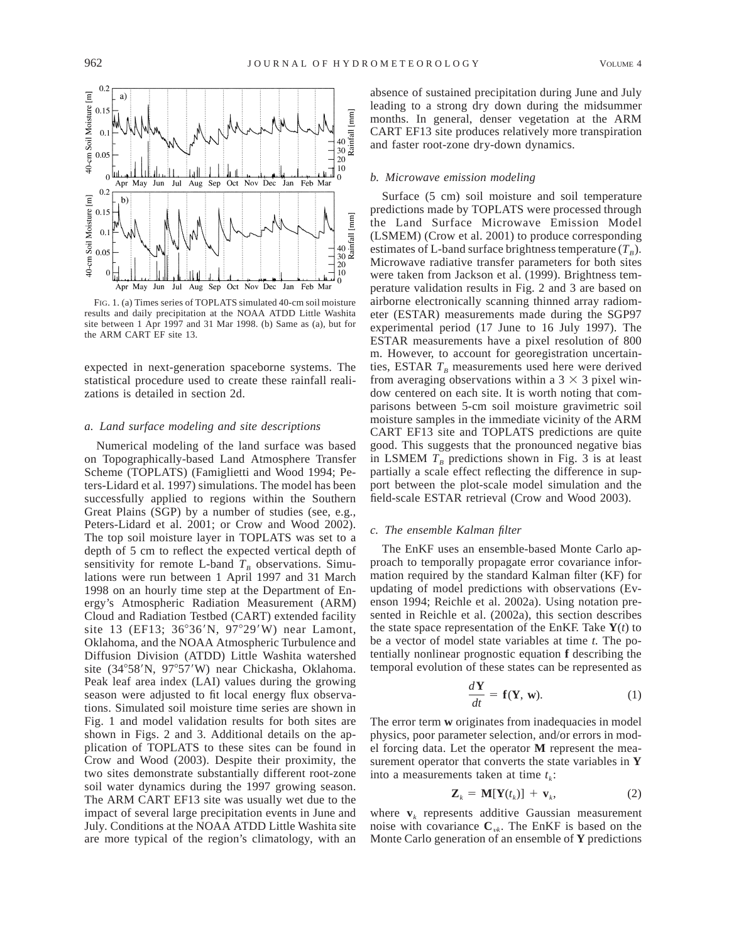

FIG. 1. (a) Times series of TOPLATS simulated 40-cm soil moisture results and daily precipitation at the NOAA ATDD Little Washita site between 1 Apr 1997 and 31 Mar 1998. (b) Same as (a), but for the ARM CART EF site 13.

expected in next-generation spaceborne systems. The statistical procedure used to create these rainfall realizations is detailed in section 2d.

#### *a. Land surface modeling and site descriptions*

Numerical modeling of the land surface was based on Topographically-based Land Atmosphere Transfer Scheme (TOPLATS) (Famiglietti and Wood 1994; Peters-Lidard et al. 1997) simulations. The model has been successfully applied to regions within the Southern Great Plains (SGP) by a number of studies (see, e.g., Peters-Lidard et al. 2001; or Crow and Wood 2002). The top soil moisture layer in TOPLATS was set to a depth of 5 cm to reflect the expected vertical depth of sensitivity for remote L-band  $T_B$  observations. Simulations were run between 1 April 1997 and 31 March 1998 on an hourly time step at the Department of Energy's Atmospheric Radiation Measurement (ARM) Cloud and Radiation Testbed (CART) extended facility site 13 (EF13;  $36^{\circ}36'$ N,  $97^{\circ}29'$ W) near Lamont, Oklahoma, and the NOAA Atmospheric Turbulence and Diffusion Division (ATDD) Little Washita watershed site (34°58'N, 97°57'W) near Chickasha, Oklahoma. Peak leaf area index (LAI) values during the growing season were adjusted to fit local energy flux observations. Simulated soil moisture time series are shown in Fig. 1 and model validation results for both sites are shown in Figs. 2 and 3. Additional details on the application of TOPLATS to these sites can be found in Crow and Wood (2003). Despite their proximity, the two sites demonstrate substantially different root-zone soil water dynamics during the 1997 growing season. The ARM CART EF13 site was usually wet due to the impact of several large precipitation events in June and July. Conditions at the NOAA ATDD Little Washita site are more typical of the region's climatology, with an

absence of sustained precipitation during June and July leading to a strong dry down during the midsummer months. In general, denser vegetation at the ARM CART EF13 site produces relatively more transpiration and faster root-zone dry-down dynamics.

#### *b. Microwave emission modeling*

Surface (5 cm) soil moisture and soil temperature predictions made by TOPLATS were processed through the Land Surface Microwave Emission Model (LSMEM) (Crow et al. 2001) to produce corresponding estimates of L-band surface brightness temperature  $(T_B)$ . Microwave radiative transfer parameters for both sites were taken from Jackson et al. (1999). Brightness temperature validation results in Fig. 2 and 3 are based on airborne electronically scanning thinned array radiometer (ESTAR) measurements made during the SGP97 experimental period (17 June to 16 July 1997). The ESTAR measurements have a pixel resolution of 800 m. However, to account for georegistration uncertainties, ESTAR  $T_B$  measurements used here were derived from averaging observations within a  $3 \times 3$  pixel window centered on each site. It is worth noting that comparisons between 5-cm soil moisture gravimetric soil moisture samples in the immediate vicinity of the ARM CART EF13 site and TOPLATS predictions are quite good. This suggests that the pronounced negative bias in LSMEM  $T_B$  predictions shown in Fig. 3 is at least partially a scale effect reflecting the difference in support between the plot-scale model simulation and the field-scale ESTAR retrieval (Crow and Wood 2003).

#### *c. The ensemble Kalman filter*

The EnKF uses an ensemble-based Monte Carlo approach to temporally propagate error covariance information required by the standard Kalman filter (KF) for updating of model predictions with observations (Evenson 1994; Reichle et al. 2002a). Using notation presented in Reichle et al. (2002a), this section describes the state space representation of the EnKF. Take  $Y(t)$  to be a vector of model state variables at time *t.* The potentially nonlinear prognostic equation **f** describing the temporal evolution of these states can be represented as

$$
\frac{d\mathbf{Y}}{dt} = \mathbf{f}(\mathbf{Y}, \mathbf{w}).\tag{1}
$$

The error term **w** originates from inadequacies in model physics, poor parameter selection, and/or errors in model forcing data. Let the operator **M** represent the measurement operator that converts the state variables in **Y** into a measurements taken at time  $t_k$ :

$$
\mathbf{Z}_k = \mathbf{M}[\mathbf{Y}(t_k)] + \mathbf{v}_k, \tag{2}
$$

where  $\mathbf{v}_k$  represents additive Gaussian measurement noise with covariance  $C_{yk}$ . The EnKF is based on the Monte Carlo generation of an ensemble of **Y** predictions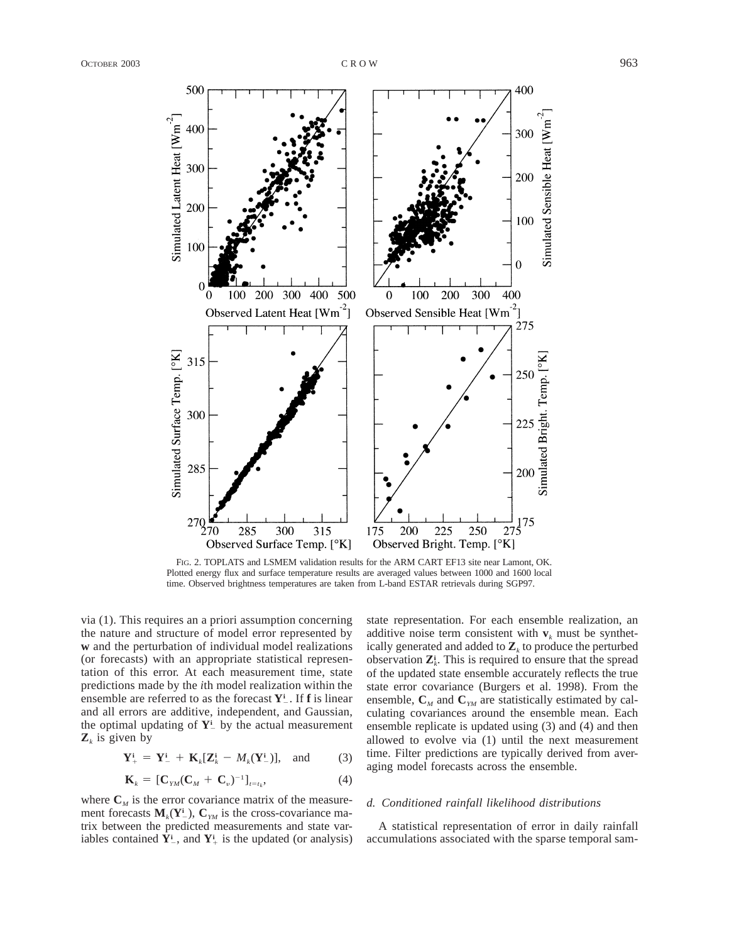

FIG. 2. TOPLATS and LSMEM validation results for the ARM CART EF13 site near Lamont, OK. Plotted energy flux and surface temperature results are averaged values between 1000 and 1600 local time. Observed brightness temperatures are taken from L-band ESTAR retrievals during SGP97.

via (1). This requires an a priori assumption concerning the nature and structure of model error represented by **w** and the perturbation of individual model realizations (or forecasts) with an appropriate statistical representation of this error. At each measurement time, state predictions made by the *i*th model realization within the ensemble are referred to as the forecast  $Y^i$ . If **f** is linear and all errors are additive, independent, and Gaussian, the optimal updating of  $Y^i$  by the actual measurement  $\mathbf{Z}_k$  is given by

$$
\mathbf{Y}_{+}^{\mathbf{i}} = \mathbf{Y}_{-}^{\mathbf{i}} + \mathbf{K}_{k}[\mathbf{Z}_{k}^{\mathbf{i}} - M_{k}(\mathbf{Y}_{-}^{\mathbf{i}})], \text{ and } (3)
$$

$$
\mathbf{K}_k = [\mathbf{C}_{YM}(\mathbf{C}_M + \mathbf{C}_v)^{-1}]_{t=t_k},\tag{4}
$$

where  $C_M$  is the error covariance matrix of the measurement forecasts  $M_k(Y^i_-)$ ,  $C_{YM}$  is the cross-covariance matrix between the predicted measurements and state variables contained  $Y^i$ , and  $Y^i$  is the updated (or analysis)

state representation. For each ensemble realization, an additive noise term consistent with  $v_k$  must be synthetically generated and added to  $\mathbf{Z}_k$  to produce the perturbed observation  $\mathbf{Z}_k^i$ . This is required to ensure that the spread of the updated state ensemble accurately reflects the true state error covariance (Burgers et al. 1998). From the ensemble,  $C_M$  and  $C_{YM}$  are statistically estimated by calculating covariances around the ensemble mean. Each ensemble replicate is updated using (3) and (4) and then allowed to evolve via (1) until the next measurement time. Filter predictions are typically derived from averaging model forecasts across the ensemble.

### *d. Conditioned rainfall likelihood distributions*

A statistical representation of error in daily rainfall accumulations associated with the sparse temporal sam-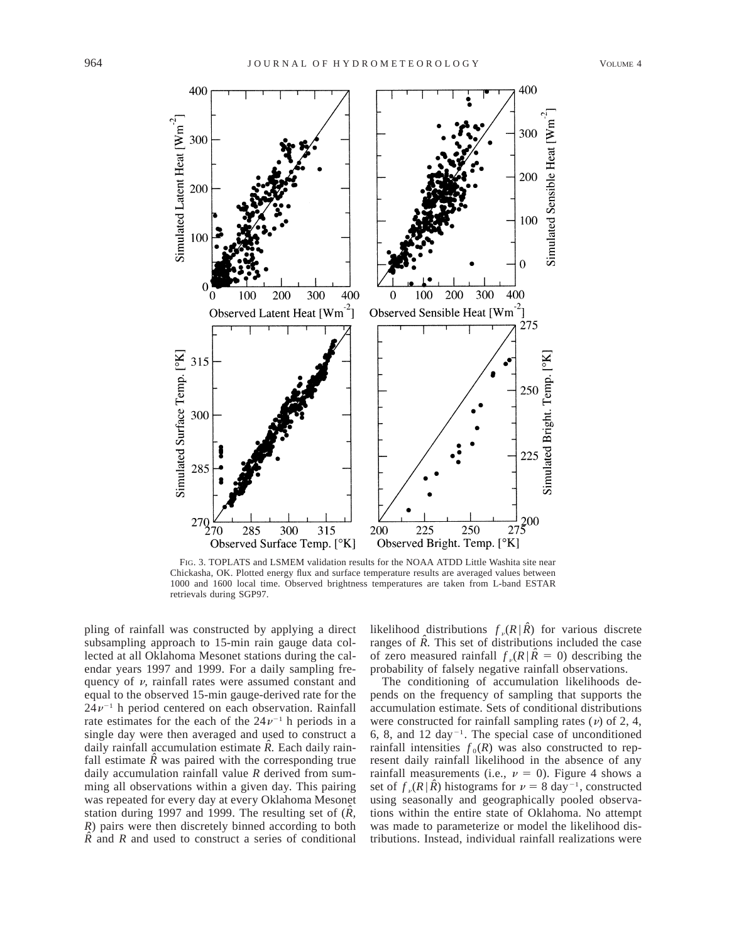

FIG. 3. TOPLATS and LSMEM validation results for the NOAA ATDD Little Washita site near Chickasha, OK. Plotted energy flux and surface temperature results are averaged values between 1000 and 1600 local time. Observed brightness temperatures are taken from L-band ESTAR retrievals during SGP97.

pling of rainfall was constructed by applying a direct subsampling approach to 15-min rain gauge data collected at all Oklahoma Mesonet stations during the calendar years 1997 and 1999. For a daily sampling frequency of  $\nu$ , rainfall rates were assumed constant and equal to the observed 15-min gauge-derived rate for the  $24v^{-1}$  h period centered on each observation. Rainfall rate estimates for the each of the  $24\nu^{-1}$  h periods in a single day were then averaged and used to construct a daily rainfall accumulation estimate  $\hat{R}$ . Each daily rainfall estimate  $\hat{R}$  was paired with the corresponding true daily accumulation rainfall value *R* derived from summing all observations within a given day. This pairing was repeated for every day at every Oklahoma Mesonet station during 1997 and 1999. The resulting set of (*Rˆ, R*) pairs were then discretely binned according to both  $\hat{R}$  and  $R$  and used to construct a series of conditional likelihood distributions  $f_{\nu}(R | \hat{R})$  for various discrete ranges of  $\hat{R}$ . This set of distributions included the case of zero measured rainfall  $f_n(R | \hat{R} = 0)$  describing the probability of falsely negative rainfall observations.

The conditioning of accumulation likelihoods depends on the frequency of sampling that supports the accumulation estimate. Sets of conditional distributions were constructed for rainfall sampling rates  $(v)$  of 2, 4, 6, 8, and 12 day<sup>-1</sup>. The special case of unconditioned rainfall intensities  $f_0(R)$  was also constructed to represent daily rainfall likelihood in the absence of any rainfall measurements (i.e.,  $\nu = 0$ ). Figure 4 shows a set of  $f_{\nu}(R | \hat{R})$  histograms for  $\nu = 8$  day<sup>-1</sup>, constructed using seasonally and geographically pooled observations within the entire state of Oklahoma. No attempt was made to parameterize or model the likelihood distributions. Instead, individual rainfall realizations were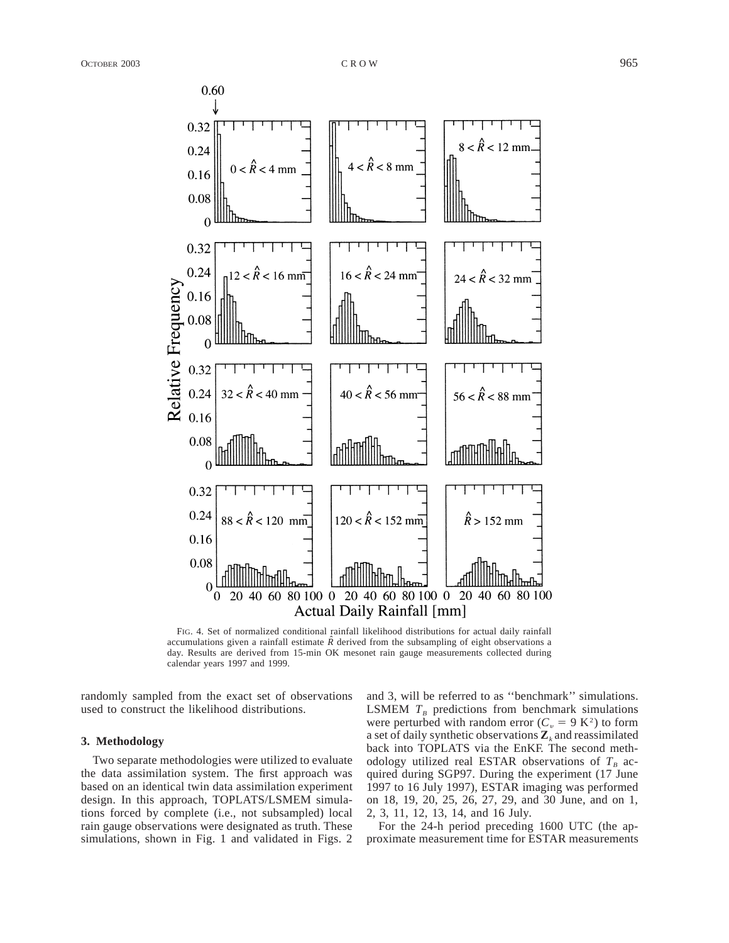

FIG. 4. Set of normalized conditional rainfall likelihood distributions for actual daily rainfall accumulations given a rainfall estimate  $\ddot{R}$  derived from the subsampling of eight observations a day. Results are derived from 15-min OK mesonet rain gauge measurements collected during calendar years 1997 and 1999.

randomly sampled from the exact set of observations used to construct the likelihood distributions.

### **3. Methodology**

Two separate methodologies were utilized to evaluate the data assimilation system. The first approach was based on an identical twin data assimilation experiment design. In this approach, TOPLATS/LSMEM simulations forced by complete (i.e., not subsampled) local rain gauge observations were designated as truth. These simulations, shown in Fig. 1 and validated in Figs. 2 and 3, will be referred to as ''benchmark'' simulations. LSMEM  $T_B$  predictions from benchmark simulations were perturbed with random error ( $C_v = 9 \text{ K}^2$ ) to form a set of daily synthetic observations  $\mathbf{Z}_k$  and reassimilated back into TOPLATS via the EnKF. The second methodology utilized real ESTAR observations of  $T_B$  acquired during SGP97. During the experiment (17 June 1997 to 16 July 1997), ESTAR imaging was performed on 18, 19, 20, 25, 26, 27, 29, and 30 June, and on 1, 2, 3, 11, 12, 13, 14, and 16 July.

For the 24-h period preceding 1600 UTC (the approximate measurement time for ESTAR measurements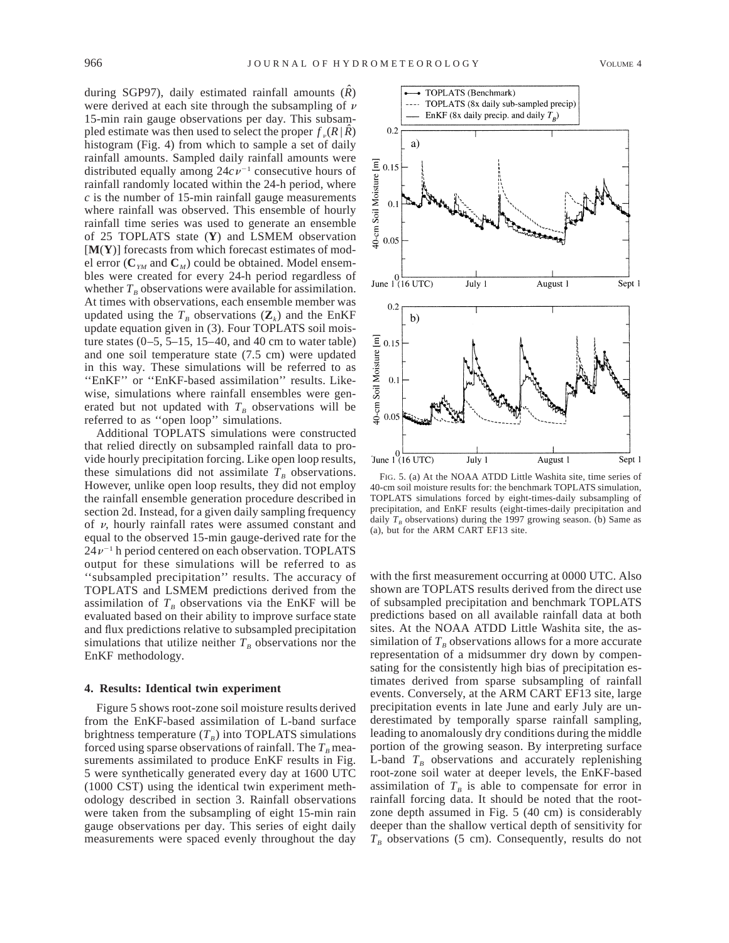during SGP97), daily estimated rainfall amounts (*Rˆ*) were derived at each site through the subsampling of  $\nu$ 15-min rain gauge observations per day. This subsampled estimate was then used to select the proper  $f_n(R | \hat{R})$ histogram (Fig. 4) from which to sample a set of daily rainfall amounts. Sampled daily rainfall amounts were distributed equally among  $24cv^{-1}$  consecutive hours of rainfall randomly located within the 24-h period, where *c* is the number of 15-min rainfall gauge measurements where rainfall was observed. This ensemble of hourly rainfall time series was used to generate an ensemble of 25 TOPLATS state (**Y**) and LSMEM observation [**M**(**Y**)] forecasts from which forecast estimates of mod-

el error ( $\mathbf{C}_{\gamma M}$  and  $\mathbf{C}_{\gamma M}$ ) could be obtained. Model ensembles were created for every 24-h period regardless of whether  $T_B$  observations were available for assimilation. At times with observations, each ensemble member was updated using the  $T_B$  observations  $(\mathbf{Z}_k)$  and the EnKF update equation given in (3). Four TOPLATS soil moisture states  $(0-5, 5-15, 15-40, 10, 40)$  cm to water table) and one soil temperature state (7.5 cm) were updated in this way. These simulations will be referred to as "EnKF" or "EnKF-based assimilation" results. Likewise, simulations where rainfall ensembles were generated but not updated with  $T_B$  observations will be referred to as ''open loop'' simulations.

Additional TOPLATS simulations were constructed that relied directly on subsampled rainfall data to provide hourly precipitation forcing. Like open loop results, these simulations did not assimilate  $T_B$  observations. However, unlike open loop results, they did not employ the rainfall ensemble generation procedure described in section 2d. Instead, for a given daily sampling frequency of  $\nu$ , hourly rainfall rates were assumed constant and equal to the observed 15-min gauge-derived rate for the  $24\nu^{-1}$  h period centered on each observation. TOPLATS output for these simulations will be referred to as ''subsampled precipitation'' results. The accuracy of TOPLATS and LSMEM predictions derived from the assimilation of  $T_B$  observations via the EnKF will be evaluated based on their ability to improve surface state and flux predictions relative to subsampled precipitation simulations that utilize neither  $T_B$  observations nor the EnKF methodology.

## **4. Results: Identical twin experiment**

Figure 5 shows root-zone soil moisture results derived from the EnKF-based assimilation of L-band surface brightness temperature  $(T_R)$  into TOPLATS simulations forced using sparse observations of rainfall. The  $T<sub>B</sub>$  measurements assimilated to produce EnKF results in Fig. 5 were synthetically generated every day at 1600 UTC (1000 CST) using the identical twin experiment methodology described in section 3. Rainfall observations were taken from the subsampling of eight 15-min rain gauge observations per day. This series of eight daily measurements were spaced evenly throughout the day



with the first measurement occurring at 0000 UTC. Also shown are TOPLATS results derived from the direct use of subsampled precipitation and benchmark TOPLATS predictions based on all available rainfall data at both sites. At the NOAA ATDD Little Washita site, the assimilation of  $T_B$  observations allows for a more accurate representation of a midsummer dry down by compensating for the consistently high bias of precipitation estimates derived from sparse subsampling of rainfall events. Conversely, at the ARM CART EF13 site, large precipitation events in late June and early July are underestimated by temporally sparse rainfall sampling, leading to anomalously dry conditions during the middle portion of the growing season. By interpreting surface L-band  $T_B$  observations and accurately replenishing root-zone soil water at deeper levels, the EnKF-based assimilation of  $T_B$  is able to compensate for error in rainfall forcing data. It should be noted that the rootzone depth assumed in Fig. 5 (40 cm) is considerably deeper than the shallow vertical depth of sensitivity for  $T_B$  observations (5 cm). Consequently, results do not

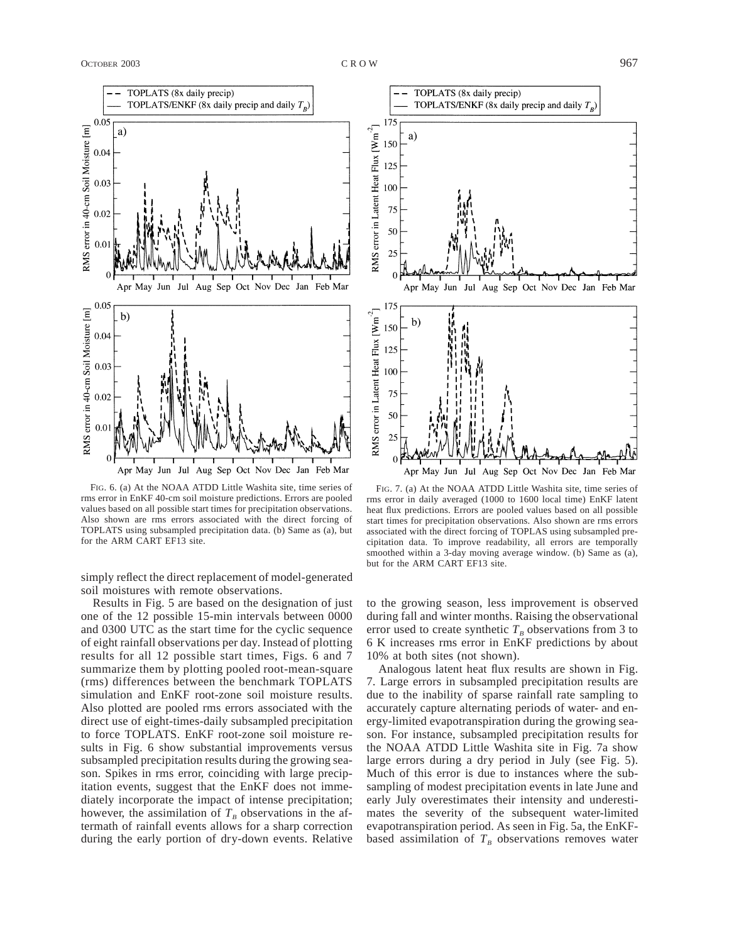TOPLATS (8x daily precip) TOPLATS/ENKF (8x daily precip and daily  $T_p$ ) 0.05 RMS error in 40-cm Soil Moisture [m] a) 0.04 0.03  $0.02$  $0.01$  $\overline{0}$ Jun Jul Aug May Sep Oct Nov Dec Jan Feb Mar Apr 0.05 RMS error in 40-cm Soil Moisture [m]  $b)$ 0.04 0.03 0.02  $0.0$  $\theta$ Apr May Jun Jul Aug Sep Oct Nov Dec Jan Feb Mar

FIG. 6. (a) At the NOAA ATDD Little Washita site, time series of rms error in EnKF 40-cm soil moisture predictions. Errors are pooled values based on all possible start times for precipitation observations. Also shown are rms errors associated with the direct forcing of TOPLATS using subsampled precipitation data. (b) Same as (a), but for the ARM CART EF13 site.

simply reflect the direct replacement of model-generated soil moistures with remote observations.

Results in Fig. 5 are based on the designation of just one of the 12 possible 15-min intervals between 0000 and 0300 UTC as the start time for the cyclic sequence of eight rainfall observations per day. Instead of plotting results for all 12 possible start times, Figs. 6 and 7 summarize them by plotting pooled root-mean-square (rms) differences between the benchmark TOPLATS simulation and EnKF root-zone soil moisture results. Also plotted are pooled rms errors associated with the direct use of eight-times-daily subsampled precipitation to force TOPLATS. EnKF root-zone soil moisture results in Fig. 6 show substantial improvements versus subsampled precipitation results during the growing season. Spikes in rms error, coinciding with large precipitation events, suggest that the EnKF does not immediately incorporate the impact of intense precipitation; however, the assimilation of  $T_B$  observations in the aftermath of rainfall events allows for a sharp correction during the early portion of dry-down events. Relative



FIG. 7. (a) At the NOAA ATDD Little Washita site, time series of rms error in daily averaged (1000 to 1600 local time) EnKF latent heat flux predictions. Errors are pooled values based on all possible start times for precipitation observations. Also shown are rms errors associated with the direct forcing of TOPLAS using subsampled precipitation data. To improve readability, all errors are temporally smoothed within a 3-day moving average window. (b) Same as (a), but for the ARM CART EF13 site.

Apr May Jun Jul Aug Sep Oct Nov Dec Jan Feb Mar

to the growing season, less improvement is observed during fall and winter months. Raising the observational error used to create synthetic  $T_B$  observations from 3 to 6 K increases rms error in EnKF predictions by about 10% at both sites (not shown).

Analogous latent heat flux results are shown in Fig. 7. Large errors in subsampled precipitation results are due to the inability of sparse rainfall rate sampling to accurately capture alternating periods of water- and energy-limited evapotranspiration during the growing season. For instance, subsampled precipitation results for the NOAA ATDD Little Washita site in Fig. 7a show large errors during a dry period in July (see Fig. 5). Much of this error is due to instances where the subsampling of modest precipitation events in late June and early July overestimates their intensity and underestimates the severity of the subsequent water-limited evapotranspiration period. As seen in Fig. 5a, the EnKFbased assimilation of  $T_B$  observations removes water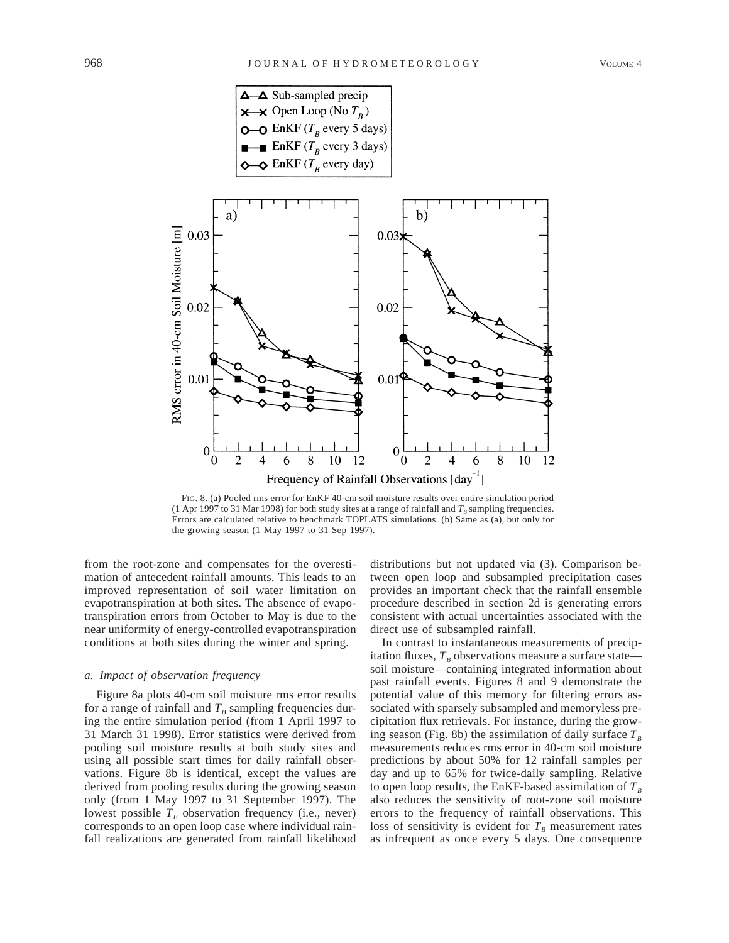

FIG. 8. (a) Pooled rms error for EnKF 40-cm soil moisture results over entire simulation period (1 Apr 1997 to 31 Mar 1998) for both study sites at a range of rainfall and  $T_B$  sampling frequencies. Errors are calculated relative to benchmark TOPLATS simulations. (b) Same as (a), but only for the growing season (1 May 1997 to 31 Sep 1997).

from the root-zone and compensates for the overestimation of antecedent rainfall amounts. This leads to an improved representation of soil water limitation on evapotranspiration at both sites. The absence of evapotranspiration errors from October to May is due to the near uniformity of energy-controlled evapotranspiration conditions at both sites during the winter and spring.

### *a. Impact of observation frequency*

Figure 8a plots 40-cm soil moisture rms error results for a range of rainfall and  $T_B$  sampling frequencies during the entire simulation period (from 1 April 1997 to 31 March 31 1998). Error statistics were derived from pooling soil moisture results at both study sites and using all possible start times for daily rainfall observations. Figure 8b is identical, except the values are derived from pooling results during the growing season only (from 1 May 1997 to 31 September 1997). The lowest possible  $T<sub>B</sub>$  observation frequency (i.e., never) corresponds to an open loop case where individual rainfall realizations are generated from rainfall likelihood

distributions but not updated via (3). Comparison between open loop and subsampled precipitation cases provides an important check that the rainfall ensemble procedure described in section 2d is generating errors consistent with actual uncertainties associated with the direct use of subsampled rainfall.

In contrast to instantaneous measurements of precipitation fluxes,  $T_B$  observations measure a surface state soil moisture—containing integrated information about past rainfall events. Figures 8 and 9 demonstrate the potential value of this memory for filtering errors associated with sparsely subsampled and memoryless precipitation flux retrievals. For instance, during the growing season (Fig. 8b) the assimilation of daily surface  $T_B$ measurements reduces rms error in 40-cm soil moisture predictions by about 50% for 12 rainfall samples per day and up to 65% for twice-daily sampling. Relative to open loop results, the EnKF-based assimilation of  $T_B$ also reduces the sensitivity of root-zone soil moisture errors to the frequency of rainfall observations. This loss of sensitivity is evident for  $T<sub>B</sub>$  measurement rates as infrequent as once every 5 days. One consequence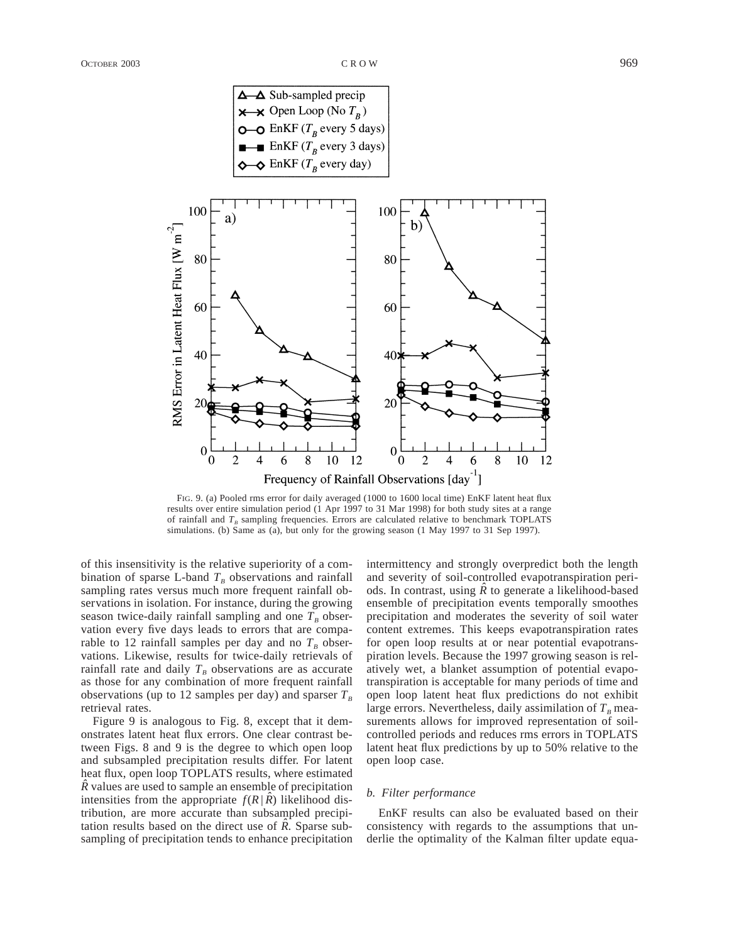

Frequency of Rainfall Observations [day<sup>-1</sup>] FIG. 9. (a) Pooled rms error for daily averaged (1000 to 1600 local time) EnKF latent heat flux results over entire simulation period (1 Apr 1997 to 31 Mar 1998) for both study sites at a range of rainfall and  $T_B$  sampling frequencies. Errors are calculated relative to benchmark TOPLATS

simulations. (b) Same as (a), but only for the growing season (1 May 1997 to 31 Sep 1997).

of this insensitivity is the relative superiority of a combination of sparse L-band  $T_B$  observations and rainfall sampling rates versus much more frequent rainfall observations in isolation. For instance, during the growing season twice-daily rainfall sampling and one  $T_B$  observation every five days leads to errors that are comparable to 12 rainfall samples per day and no  $T_B$  observations. Likewise, results for twice-daily retrievals of rainfall rate and daily  $T_B$  observations are as accurate as those for any combination of more frequent rainfall observations (up to 12 samples per day) and sparser  $T<sub>B</sub>$ retrieval rates.

Figure 9 is analogous to Fig. 8, except that it demonstrates latent heat flux errors. One clear contrast between Figs. 8 and 9 is the degree to which open loop and subsampled precipitation results differ. For latent heat flux, open loop TOPLATS results, where estimated  $\hat{R}$  values are used to sample an ensemble of precipitation intensities from the appropriate  $f(R | \hat{R})$  likelihood distribution, are more accurate than subsampled precipitation results based on the direct use of  $\ddot{R}$ . Sparse subsampling of precipitation tends to enhance precipitation

intermittency and strongly overpredict both the length and severity of soil-controlled evapotranspiration periods. In contrast, using  $\hat{R}$  to generate a likelihood-based ensemble of precipitation events temporally smoothes precipitation and moderates the severity of soil water content extremes. This keeps evapotranspiration rates for open loop results at or near potential evapotranspiration levels. Because the 1997 growing season is relatively wet, a blanket assumption of potential evapotranspiration is acceptable for many periods of time and open loop latent heat flux predictions do not exhibit large errors. Nevertheless, daily assimilation of  $T<sub>B</sub>$  measurements allows for improved representation of soilcontrolled periods and reduces rms errors in TOPLATS latent heat flux predictions by up to 50% relative to the open loop case.

## *b. Filter performance*

EnKF results can also be evaluated based on their consistency with regards to the assumptions that underlie the optimality of the Kalman filter update equa-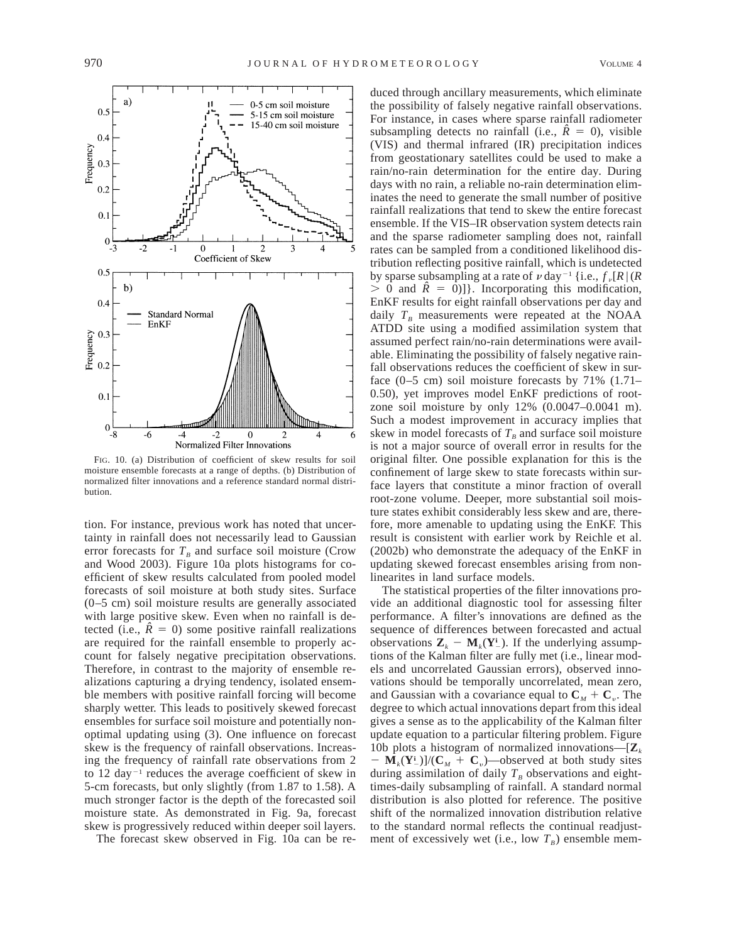

FIG. 10. (a) Distribution of coefficient of skew results for soil moisture ensemble forecasts at a range of depths. (b) Distribution of normalized filter innovations and a reference standard normal distribution.

tion. For instance, previous work has noted that uncertainty in rainfall does not necessarily lead to Gaussian error forecasts for  $T_B$  and surface soil moisture (Crow and Wood 2003). Figure 10a plots histograms for coefficient of skew results calculated from pooled model forecasts of soil moisture at both study sites. Surface (0–5 cm) soil moisture results are generally associated with large positive skew. Even when no rainfall is detected (i.e.,  $\hat{R} = 0$ ) some positive rainfall realizations are required for the rainfall ensemble to properly account for falsely negative precipitation observations. Therefore, in contrast to the majority of ensemble realizations capturing a drying tendency, isolated ensemble members with positive rainfall forcing will become sharply wetter. This leads to positively skewed forecast ensembles for surface soil moisture and potentially nonoptimal updating using (3). One influence on forecast skew is the frequency of rainfall observations. Increasing the frequency of rainfall rate observations from 2 to 12 day<sup> $-1$ </sup> reduces the average coefficient of skew in 5-cm forecasts, but only slightly (from 1.87 to 1.58). A much stronger factor is the depth of the forecasted soil moisture state. As demonstrated in Fig. 9a, forecast skew is progressively reduced within deeper soil layers.

The forecast skew observed in Fig. 10a can be re-

duced through ancillary measurements, which eliminate the possibility of falsely negative rainfall observations. For instance, in cases where sparse rainfall radiometer subsampling detects no rainfall (i.e.,  $\hat{R} = 0$ ), visible (VIS) and thermal infrared (IR) precipitation indices from geostationary satellites could be used to make a rain/no-rain determination for the entire day. During days with no rain, a reliable no-rain determination eliminates the need to generate the small number of positive rainfall realizations that tend to skew the entire forecast ensemble. If the VIS–IR observation system detects rain and the sparse radiometer sampling does not, rainfall rates can be sampled from a conditioned likelihood distribution reflecting positive rainfall, which is undetected by sparse subsampling at a rate of  $\nu$  day<sup>-1</sup> {i.e.,  $f_{\nu}[R]$  (*R*  $> 0$  and  $\hat{R} = 0$ ]. Incorporating this modification, EnKF results for eight rainfall observations per day and daily  $T_B$  measurements were repeated at the NOAA ATDD site using a modified assimilation system that assumed perfect rain/no-rain determinations were available. Eliminating the possibility of falsely negative rainfall observations reduces the coefficient of skew in surface (0–5 cm) soil moisture forecasts by 71% (1.71– 0.50), yet improves model EnKF predictions of rootzone soil moisture by only 12% (0.0047–0.0041 m). Such a modest improvement in accuracy implies that skew in model forecasts of  $T_B$  and surface soil moisture is not a major source of overall error in results for the original filter. One possible explanation for this is the confinement of large skew to state forecasts within surface layers that constitute a minor fraction of overall root-zone volume. Deeper, more substantial soil moisture states exhibit considerably less skew and are, therefore, more amenable to updating using the EnKF. This result is consistent with earlier work by Reichle et al. (2002b) who demonstrate the adequacy of the EnKF in updating skewed forecast ensembles arising from nonlinearites in land surface models.

The statistical properties of the filter innovations provide an additional diagnostic tool for assessing filter performance. A filter's innovations are defined as the sequence of differences between forecasted and actual observations  $\mathbf{Z}_k - \mathbf{M}_k(\mathbf{Y}_-^i)$ . If the underlying assumptions of the Kalman filter are fully met (i.e., linear models and uncorrelated Gaussian errors), observed innovations should be temporally uncorrelated, mean zero, and Gaussian with a covariance equal to  $C_M + C_v$ . The degree to which actual innovations depart from this ideal gives a sense as to the applicability of the Kalman filter update equation to a particular filtering problem. Figure 10b plots a histogram of normalized innovations— $[\mathbf{Z}_k]$  $-\mathbf{M}_k(\mathbf{Y}_-^i)/(\mathbf{C}_M + \mathbf{C}_v)$ —observed at both study sites during assimilation of daily  $T_B$  observations and eighttimes-daily subsampling of rainfall. A standard normal distribution is also plotted for reference. The positive shift of the normalized innovation distribution relative to the standard normal reflects the continual readjustment of excessively wet (i.e., low  $T_B$ ) ensemble mem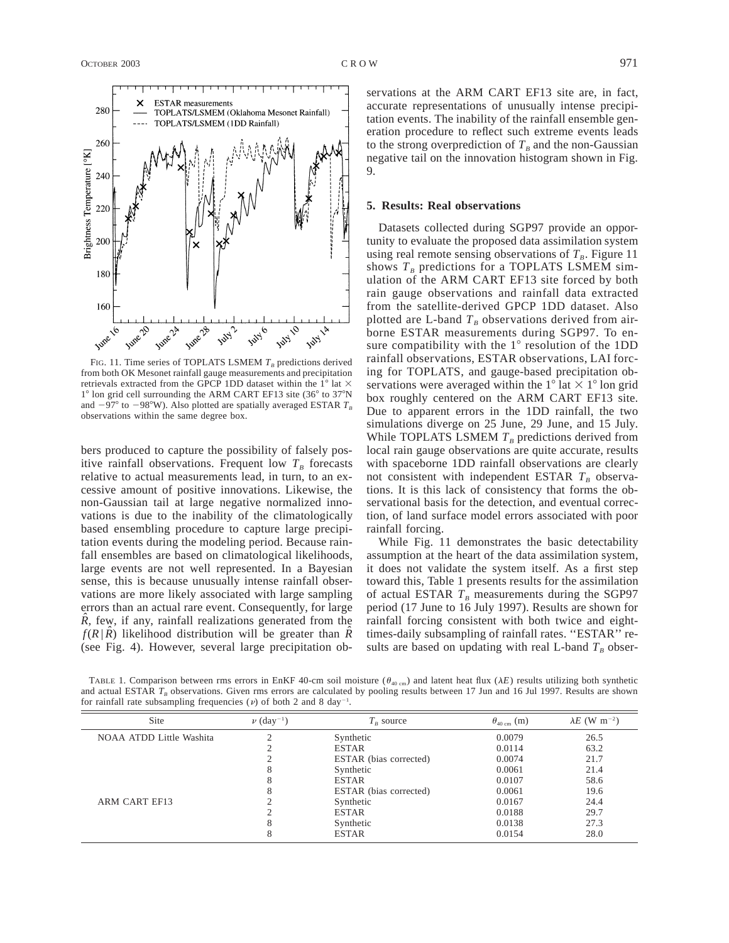OCTOBER 2003 CROW CROW CROW 971



FIG. 11. Time series of TOPLATS LSMEM  $T_B$  predictions derived from both OK Mesonet rainfall gauge measurements and precipitation retrievals extracted from the GPCP 1DD dataset within the  $1^{\circ}$  lat  $\times$  $1^\circ$  lon grid cell surrounding the ARM CART EF13 site (36 $^\circ$  to 37 $^\circ$ N and  $-97^{\circ}$  to  $-98^{\circ}$ W). Also plotted are spatially averaged ESTAR  $T_B$ observations within the same degree box.

bers produced to capture the possibility of falsely positive rainfall observations. Frequent low  $T_B$  forecasts relative to actual measurements lead, in turn, to an excessive amount of positive innovations. Likewise, the non-Gaussian tail at large negative normalized innovations is due to the inability of the climatologically based ensembling procedure to capture large precipitation events during the modeling period. Because rainfall ensembles are based on climatological likelihoods, large events are not well represented. In a Bayesian sense, this is because unusually intense rainfall observations are more likely associated with large sampling errors than an actual rare event. Consequently, for large  $\hat{R}$ , few, if any, rainfall realizations generated from the  $f(R | \hat{R})$  likelihood distribution will be greater than  $\hat{R}$ (see Fig. 4). However, several large precipitation observations at the ARM CART EF13 site are, in fact, accurate representations of unusually intense precipitation events. The inability of the rainfall ensemble generation procedure to reflect such extreme events leads to the strong overprediction of  $T_B$  and the non-Gaussian negative tail on the innovation histogram shown in Fig. 9.

#### **5. Results: Real observations**

Datasets collected during SGP97 provide an opportunity to evaluate the proposed data assimilation system using real remote sensing observations of  $T<sub>B</sub>$ . Figure 11 shows  $T_B$  predictions for a TOPLATS LSMEM simulation of the ARM CART EF13 site forced by both rain gauge observations and rainfall data extracted from the satellite-derived GPCP 1DD dataset. Also plotted are L-band  $T_B$  observations derived from airborne ESTAR measurements during SGP97. To ensure compatibility with the  $1^\circ$  resolution of the 1DD rainfall observations, ESTAR observations, LAI forcing for TOPLATS, and gauge-based precipitation observations were averaged within the  $1^{\circ}$  lat  $\times$   $1^{\circ}$  lon grid box roughly centered on the ARM CART EF13 site. Due to apparent errors in the 1DD rainfall, the two simulations diverge on 25 June, 29 June, and 15 July. While TOPLATS LSMEM  $T_B$  predictions derived from local rain gauge observations are quite accurate, results with spaceborne 1DD rainfall observations are clearly not consistent with independent ESTAR  $T_B$  observations. It is this lack of consistency that forms the observational basis for the detection, and eventual correction, of land surface model errors associated with poor rainfall forcing.

While Fig. 11 demonstrates the basic detectability assumption at the heart of the data assimilation system, it does not validate the system itself. As a first step toward this, Table 1 presents results for the assimilation of actual ESTAR  $T_B$  measurements during the SGP97 period (17 June to 16 July 1997). Results are shown for rainfall forcing consistent with both twice and eighttimes-daily subsampling of rainfall rates. ''ESTAR'' results are based on updating with real L-band  $T_B$  obser-

| TABLE 1. Comparison between rms errors in EnKF 40-cm soil moisture ( $\theta_{40 \text{ cm}}$ ) and latent heat flux ( $\lambda E$ ) results utilizing both synthetic |  |  |  |  |
|-----------------------------------------------------------------------------------------------------------------------------------------------------------------------|--|--|--|--|
| and actual ESTAR $T_R$ observations. Given rms errors are calculated by pooling results between 17 Jun and 16 Jul 1997. Results are shown                             |  |  |  |  |
| for rainfall rate subsampling frequencies ( $\nu$ ) of both 2 and 8 day <sup>-1</sup> .                                                                               |  |  |  |  |

| Site                     | $\nu$ (day <sup>-1</sup> ) | $T_{R}$ source         | $\theta_{40 \text{ cm}}$ (m) | $\lambda E$ (W m <sup>-2</sup> ) |
|--------------------------|----------------------------|------------------------|------------------------------|----------------------------------|
| NOAA ATDD Little Washita |                            | Synthetic              | 0.0079                       | 26.5                             |
|                          |                            | <b>ESTAR</b>           | 0.0114                       | 63.2                             |
|                          |                            | ESTAR (bias corrected) | 0.0074                       | 21.7                             |
|                          | 8                          | Synthetic              | 0.0061                       | 21.4                             |
|                          | Õ                          | <b>ESTAR</b>           | 0.0107                       | 58.6                             |
|                          | 8                          | ESTAR (bias corrected) | 0.0061                       | 19.6                             |
| ARM CART EF13            |                            | Synthetic              | 0.0167                       | 24.4                             |
|                          |                            | <b>ESTAR</b>           | 0.0188                       | 29.7                             |
|                          | 8                          | Synthetic              | 0.0138                       | 27.3                             |
|                          | δ                          | <b>ESTAR</b>           | 0.0154                       | 28.0                             |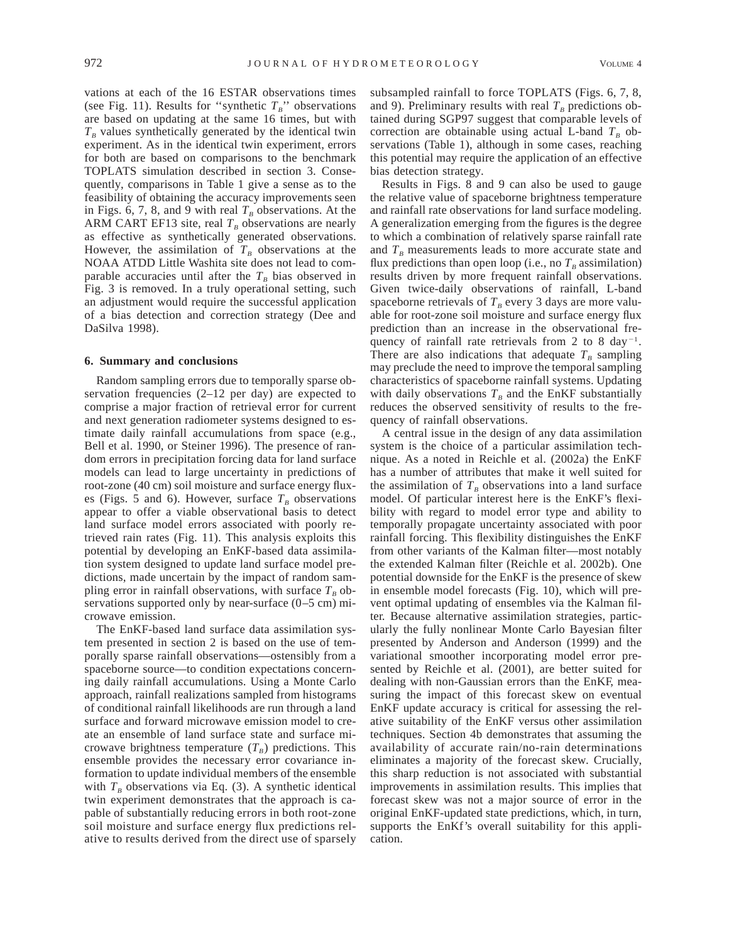vations at each of the 16 ESTAR observations times (see Fig. 11). Results for "synthetic  $T_B$ " observations are based on updating at the same 16 times, but with  $T_B$  values synthetically generated by the identical twin experiment. As in the identical twin experiment, errors for both are based on comparisons to the benchmark TOPLATS simulation described in section 3. Consequently, comparisons in Table 1 give a sense as to the feasibility of obtaining the accuracy improvements seen in Figs. 6, 7, 8, and 9 with real  $T_B$  observations. At the ARM CART EF13 site, real  $T_B$  observations are nearly as effective as synthetically generated observations. However, the assimilation of  $T_B$  observations at the NOAA ATDD Little Washita site does not lead to comparable accuracies until after the  $T_B$  bias observed in Fig. 3 is removed. In a truly operational setting, such an adjustment would require the successful application of a bias detection and correction strategy (Dee and DaSilva 1998).

#### **6. Summary and conclusions**

Random sampling errors due to temporally sparse observation frequencies (2–12 per day) are expected to comprise a major fraction of retrieval error for current and next generation radiometer systems designed to estimate daily rainfall accumulations from space (e.g., Bell et al. 1990, or Steiner 1996). The presence of random errors in precipitation forcing data for land surface models can lead to large uncertainty in predictions of root-zone (40 cm) soil moisture and surface energy fluxes (Figs. 5 and 6). However, surface  $T<sub>B</sub>$  observations appear to offer a viable observational basis to detect land surface model errors associated with poorly retrieved rain rates (Fig. 11). This analysis exploits this potential by developing an EnKF-based data assimilation system designed to update land surface model predictions, made uncertain by the impact of random sampling error in rainfall observations, with surface  $T_B$  observations supported only by near-surface (0–5 cm) microwave emission.

The EnKF-based land surface data assimilation system presented in section 2 is based on the use of temporally sparse rainfall observations—ostensibly from a spaceborne source—to condition expectations concerning daily rainfall accumulations. Using a Monte Carlo approach, rainfall realizations sampled from histograms of conditional rainfall likelihoods are run through a land surface and forward microwave emission model to create an ensemble of land surface state and surface microwave brightness temperature  $(T_B)$  predictions. This ensemble provides the necessary error covariance information to update individual members of the ensemble with  $T_B$  observations via Eq. (3). A synthetic identical twin experiment demonstrates that the approach is capable of substantially reducing errors in both root-zone soil moisture and surface energy flux predictions relative to results derived from the direct use of sparsely

subsampled rainfall to force TOPLATS (Figs. 6, 7, 8, and 9). Preliminary results with real  $T<sub>B</sub>$  predictions obtained during SGP97 suggest that comparable levels of correction are obtainable using actual L-band  $T_B$  observations (Table 1), although in some cases, reaching this potential may require the application of an effective bias detection strategy.

Results in Figs. 8 and 9 can also be used to gauge the relative value of spaceborne brightness temperature and rainfall rate observations for land surface modeling. A generalization emerging from the figures is the degree to which a combination of relatively sparse rainfall rate and  $T_B$  measurements leads to more accurate state and flux predictions than open loop (i.e., no  $T<sub>B</sub>$  assimilation) results driven by more frequent rainfall observations. Given twice-daily observations of rainfall, L-band spaceborne retrievals of  $T_B$  every 3 days are more valuable for root-zone soil moisture and surface energy flux prediction than an increase in the observational frequency of rainfall rate retrievals from 2 to 8 day<sup> $-1$ </sup>. There are also indications that adequate  $T_B$  sampling may preclude the need to improve the temporal sampling characteristics of spaceborne rainfall systems. Updating with daily observations  $T_B$  and the EnKF substantially reduces the observed sensitivity of results to the frequency of rainfall observations.

A central issue in the design of any data assimilation system is the choice of a particular assimilation technique. As a noted in Reichle et al. (2002a) the EnKF has a number of attributes that make it well suited for the assimilation of  $T_B$  observations into a land surface model. Of particular interest here is the EnKF's flexibility with regard to model error type and ability to temporally propagate uncertainty associated with poor rainfall forcing. This flexibility distinguishes the EnKF from other variants of the Kalman filter—most notably the extended Kalman filter (Reichle et al. 2002b). One potential downside for the EnKF is the presence of skew in ensemble model forecasts (Fig. 10), which will prevent optimal updating of ensembles via the Kalman filter. Because alternative assimilation strategies, particularly the fully nonlinear Monte Carlo Bayesian filter presented by Anderson and Anderson (1999) and the variational smoother incorporating model error presented by Reichle et al. (2001), are better suited for dealing with non-Gaussian errors than the EnKF, measuring the impact of this forecast skew on eventual EnKF update accuracy is critical for assessing the relative suitability of the EnKF versus other assimilation techniques. Section 4b demonstrates that assuming the availability of accurate rain/no-rain determinations eliminates a majority of the forecast skew. Crucially, this sharp reduction is not associated with substantial improvements in assimilation results. This implies that forecast skew was not a major source of error in the original EnKF-updated state predictions, which, in turn, supports the EnKf's overall suitability for this application.